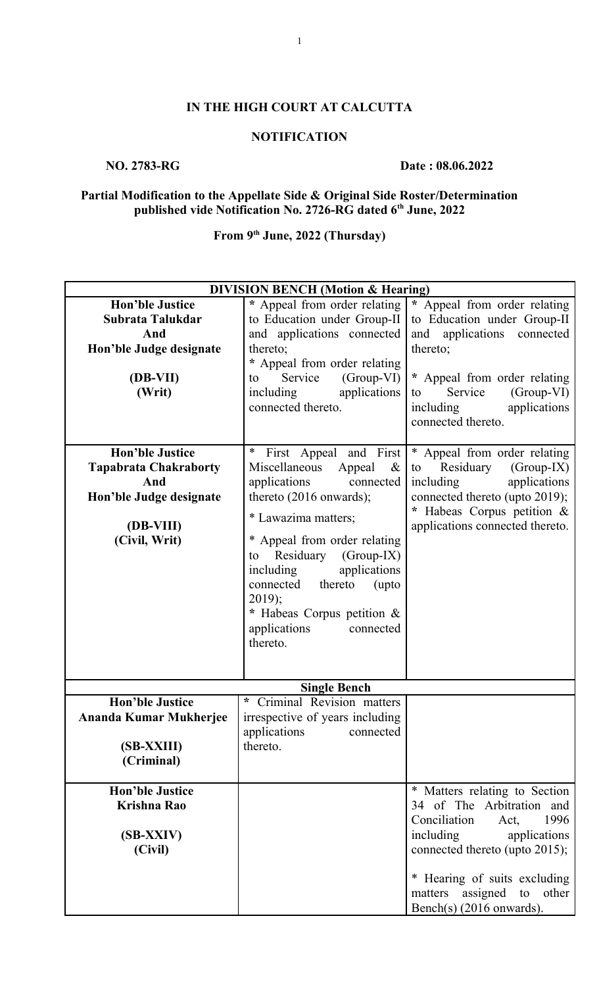### **IN THE HIGH COURT AT CALCUTTA**

#### **NOTIFICATION**

#### **NO. 2783-RG** Date : 08.06.2022

#### **Partial Modification to the Appellate Side & Original Side Roster/Determination published vide Notification No. 2726-RG dated 6th June, 2022**

## **From 9th June, 2022 (Thursday)**

| <b>DIVISION BENCH (Motion &amp; Hearing)</b> |                                  |                                 |  |
|----------------------------------------------|----------------------------------|---------------------------------|--|
| <b>Hon'ble Justice</b>                       | * Appeal from order relating     | * Appeal from order relating    |  |
| Subrata Talukdar                             | to Education under Group-II      | to Education under Group-II     |  |
| And                                          | and applications connected       | and applications connected      |  |
| Hon'ble Judge designate                      | thereto;                         | thereto;                        |  |
|                                              | * Appeal from order relating     |                                 |  |
| (DB-VII)                                     | Service<br>$(Group-VI)$<br>to    | * Appeal from order relating    |  |
| (Writ)                                       | applications<br>including        | Service<br>(Group-VI)<br>to     |  |
|                                              | connected thereto.               | including<br>applications       |  |
|                                              |                                  | connected thereto.              |  |
|                                              |                                  |                                 |  |
| <b>Hon'ble Justice</b>                       | $\ast$<br>First Appeal and First | * Appeal from order relating    |  |
|                                              | Miscellaneous<br>$\&$            | $(Group-IX)$<br>Residuary       |  |
| <b>Tapabrata Chakraborty</b><br>And          | Appeal                           | to                              |  |
|                                              | applications<br>connected        | applications<br>including       |  |
| Hon'ble Judge designate                      | thereto $(2016$ onwards);        | connected thereto (upto 2019);  |  |
|                                              | * Lawazima matters;              | * Habeas Corpus petition &      |  |
| (DB-VIII)                                    |                                  | applications connected thereto. |  |
| (Civil, Writ)                                | * Appeal from order relating     |                                 |  |
|                                              | Residuary<br>$(Group-IX)$<br>to  |                                 |  |
|                                              | including<br>applications        |                                 |  |
|                                              | connected thereto<br>(upto       |                                 |  |
|                                              | $2019$ ;                         |                                 |  |
|                                              | * Habeas Corpus petition &       |                                 |  |
|                                              | applications<br>connected        |                                 |  |
|                                              | thereto.                         |                                 |  |
|                                              |                                  |                                 |  |
|                                              |                                  |                                 |  |
| <b>Single Bench</b>                          |                                  |                                 |  |
| <b>Hon'ble Justice</b>                       | * Criminal Revision matters      |                                 |  |
| Ananda Kumar Mukherjee                       | irrespective of years including  |                                 |  |
|                                              | applications<br>connected        |                                 |  |
| (SB-XXIII)                                   | thereto.                         |                                 |  |
| (Criminal)                                   |                                  |                                 |  |
|                                              |                                  |                                 |  |
| <b>Hon'ble Justice</b>                       |                                  | * Matters relating to Section   |  |
| <b>Krishna Rao</b>                           |                                  | 34 of The Arbitration and       |  |
|                                              |                                  | Conciliation<br>1996<br>Act,    |  |
| (SB-XXIV)                                    |                                  | including<br>applications       |  |
| (Civil)                                      |                                  | connected thereto (upto 2015);  |  |
|                                              |                                  |                                 |  |
|                                              |                                  | * Hearing of suits excluding    |  |
|                                              |                                  | matters assigned to other       |  |
|                                              |                                  | Bench(s) (2016 onwards).        |  |